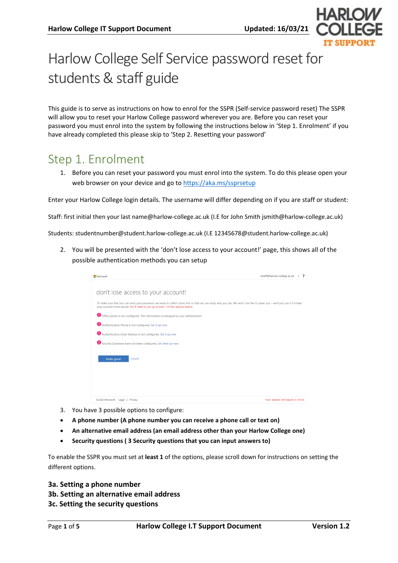

# Harlow College Self Service password reset for students & staff guide

This guide is to serve as instructions on how to enrol for the SSPR (Self-service password reset) The SSPR will allow you to reset your Harlow College password wherever you are. Before you can reset your password you must enrol into the system by following the instructions below in 'Step 1. Enrolment' if you have already completed this please skip to 'Step 2. Resetting your password'

### Step 1. Enrolment

1. Before you can reset your password you must enrol into the system. To do this please open your web browser on your device and go to<https://aka.ms/ssprsetup>

Enter your Harlow College login details. The username will differ depending on if you are staff or student:

Staff: first initial then your last name@harlow-college.ac.uk (I.E for John Smith jsmith@harlow-college.ac.uk)

Students: studentnumber@student.harlow-college.ac.uk (I.E 12345678@student.harlow-college.ac.uk)

2. You will be presented with the 'don't lose access to your account!' page, this shows all of the possible authentication methods you can setup

| Microsoft                                                                                                                                                                                                                                                    | tstaff@harlow-college.ac.uk<br>7  |
|--------------------------------------------------------------------------------------------------------------------------------------------------------------------------------------------------------------------------------------------------------------|-----------------------------------|
| don't lose access to your account!                                                                                                                                                                                                                           |                                   |
| To make sure that you can reset your password, we need to collect some info so that we can verify who you are. We won't use this to spam you - we'll just use it to make<br>your account more secure. You'll need to set up at least 1 of the options below. |                                   |
| Office phone is not configured. This information is managed by your administrator.                                                                                                                                                                           |                                   |
| Authentication Phone is not configured. Set it up now                                                                                                                                                                                                        |                                   |
| Authentication Email Address is not configured. Set it up now                                                                                                                                                                                                |                                   |
| Security Questions have not been configured. Set them up now                                                                                                                                                                                                 |                                   |
| looks good<br>Cancel                                                                                                                                                                                                                                         |                                   |
|                                                                                                                                                                                                                                                              |                                   |
|                                                                                                                                                                                                                                                              |                                   |
| ©2020 Microsoft Legal<br>Privacy                                                                                                                                                                                                                             | Your session will expire in 14:01 |

- 3. You have 3 possible options to configure:
- **A phone number (A phone number you can receive a phone call or text on)**
- **An alternative email address (an email address other than your Harlow College one)**
- **Security questions ( 3 Security questions that you can input answers to)**

To enable the SSPR you must set at **least 1** of the options, please scroll down for instructions on setting the different options.

**3a. Setting a phone number 3b. Setting an alternative email address 3c. Setting the security questions**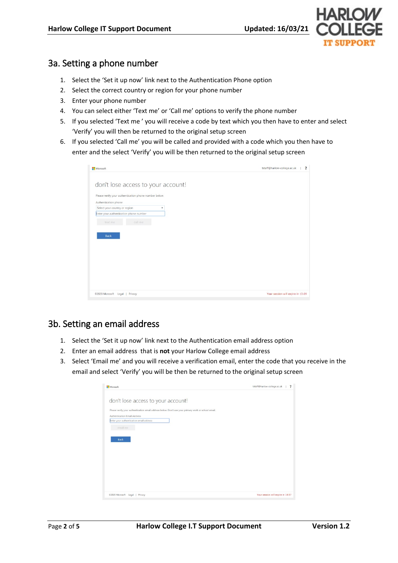

### 3a. Setting a phone number

- 1. Select the 'Set it up now' link next to the Authentication Phone option
- 2. Select the correct country or region for your phone number
- 3. Enter your phone number
- 4. You can select either 'Text me' or 'Call me' options to verify the phone number
- 5. If you selected 'Text me ' you will receive a code by text which you then have to enter and select 'Verify' you will then be returned to the original setup screen
- 6. If you selected 'Call me' you will be called and provided with a code which you then have to enter and the select 'Verify' you will be then returned to the original setup screen

| Microsoft                                                  | tstaff@harlow-college.ac.uk       |
|------------------------------------------------------------|-----------------------------------|
| don't lose access to your account!                         |                                   |
| Please verify your authentication phone number below.      |                                   |
| Authentication phone                                       |                                   |
| Select your country or region<br>$\boldsymbol{\mathrm{v}}$ |                                   |
| Enter your authentication phone number                     |                                   |
| call me<br>text me                                         |                                   |
|                                                            |                                   |
|                                                            |                                   |
| <b>Back</b>                                                |                                   |
|                                                            |                                   |
|                                                            |                                   |
|                                                            |                                   |
|                                                            |                                   |
|                                                            |                                   |
|                                                            |                                   |
|                                                            |                                   |
|                                                            |                                   |
| @2020 Microsoft Legal   Privacy                            | Your session will expire in 13:09 |

### 3b. Setting an email address

- 1. Select the 'Set it up now' link next to the Authentication email address option
- 2. Enter an email address that is **not** your Harlow College email address
- 3. Select 'Email me' and you will receive a verification email, enter the code that you receive in the email and select 'Verify' you will be then be returned to the original setup screen

| Microsoft                                                                                           | tstaff@harlow-college.ac.uk<br>$\overline{\mathbf{z}}$ |
|-----------------------------------------------------------------------------------------------------|--------------------------------------------------------|
| don't lose access to your account!                                                                  |                                                        |
| Please verify your authentication email address below. Don't use your primary work or school email. |                                                        |
| Authentication Email Address<br>Enter your authentication email address                             |                                                        |
| email me                                                                                            |                                                        |
|                                                                                                     |                                                        |
| <b>Back</b>                                                                                         |                                                        |
|                                                                                                     |                                                        |
|                                                                                                     |                                                        |
|                                                                                                     |                                                        |
|                                                                                                     |                                                        |
|                                                                                                     |                                                        |
|                                                                                                     |                                                        |
|                                                                                                     | Your session will expire in 14:57                      |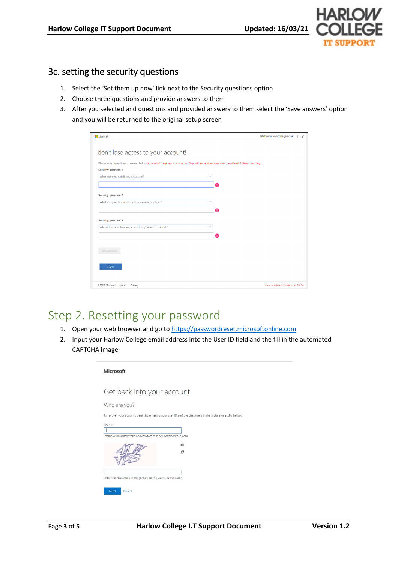

### 3c. setting the security questions

- 1. Select the 'Set them up now' link next to the Security questions option
- 2. Choose three questions and provide answers to them
- 3. After you selected and questions and provided answers to them select the 'Save answers' option and you will be returned to the original setup screen

| Microsoft                                                                                                                               | tstaff@harlow-college.ac.uk<br>2  |
|-----------------------------------------------------------------------------------------------------------------------------------------|-----------------------------------|
|                                                                                                                                         |                                   |
| don't lose access to your account!                                                                                                      |                                   |
| Please select questions to answer below. Your admin requires you to set up 3 questions, and answers must be at least 3 characters long. |                                   |
| <b>Security question 1</b>                                                                                                              |                                   |
| What was your childhood nickname?<br>۰                                                                                                  |                                   |
|                                                                                                                                         | Ω                                 |
| <b>Security question 2</b>                                                                                                              |                                   |
| What was your favourite sport in secondary school?<br>÷                                                                                 |                                   |
|                                                                                                                                         | Ω                                 |
|                                                                                                                                         |                                   |
| <b>Security question 3</b><br>Who is the most famous person that you have ever met?<br>v                                                |                                   |
|                                                                                                                                         |                                   |
|                                                                                                                                         | Ω                                 |
|                                                                                                                                         |                                   |
| save answers                                                                                                                            |                                   |
|                                                                                                                                         |                                   |
| <b>Back</b>                                                                                                                             |                                   |
|                                                                                                                                         |                                   |
| ©2020 Microsoft Legal   Privacy                                                                                                         | Your session will expire in 14:54 |

### Step 2. Resetting your password

- 1. Open your web browser and go t[o https://passwordreset.microsoftonline.com](https://passwordreset.microsoftonline.com/)
- 2. Input your Harlow College email address into the User ID field and the fill in the automated CAPTCHA image

| Get back into your account                                |                                                                                                           |
|-----------------------------------------------------------|-----------------------------------------------------------------------------------------------------------|
| Who are you?                                              |                                                                                                           |
|                                                           | To recover your account, begin by entering your user ID and the characters in the picture or audio below. |
| User ID:                                                  |                                                                                                           |
|                                                           |                                                                                                           |
| Example: user@contoso.onmicrosoft.com or user@contoso.com |                                                                                                           |
|                                                           |                                                                                                           |
|                                                           | c                                                                                                         |
|                                                           |                                                                                                           |
|                                                           |                                                                                                           |
|                                                           |                                                                                                           |
|                                                           |                                                                                                           |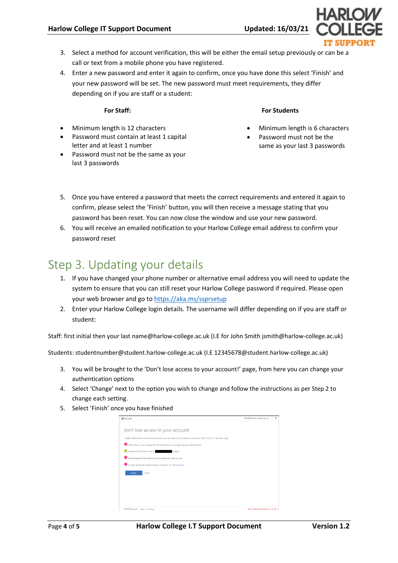- 3. Select a method for account verification, this will be either the email setup previously or can be a call or text from a mobile phone you have registered.
- 4. Enter a new password and enter it again to confirm, once you have done this select 'Finish' and your new password will be set. The new password must meet requirements, they differ depending on if you are staff or a student:

#### **For Staff:**

- Minimum length is 12 characters
- Password must contain at least 1 capital letter and at least 1 number
- Password must not be the same as your last 3 passwords

#### **For Students**

- Minimum length is 6 characters
- Password must not be the same as your last 3 passwords
- 5. Once you have entered a password that meets the correct requirements and entered it again to confirm, please select the 'Finish' button, you will then receive a message stating that you password has been reset. You can now close the window and use your new password.
- 6. You will receive an emailed notification to your Harlow College email address to confirm your password reset

## Step 3. Updating your details

- 1. If you have changed your phone number or alternative email address you will need to update the system to ensure that you can still reset your Harlow College password if required. Please open your web browser and go to<https://aka.ms/ssprsetup>
- 2. Enter your Harlow College login details. The username will differ depending on if you are staff or student:

Staff: first initial then your last name@harlow-college.ac.uk (I.E for John Smith jsmith@harlow-college.ac.uk)

Students: studentnumber@student.harlow-college.ac.uk (I.E 12345678@student.harlow-college.ac.uk)

- 3. You will be brought to the 'Don't lose access to your account!' page, from here you can change your authentication options
- 4. Select 'Change' next to the option you wish to change and follow the instructions as per Step 2 to change each setting.
- 5. Select 'Finish' once you have finished

| Microsoft                                                                                                                | tstaff@harlow-college.ac.uk<br>,  |
|--------------------------------------------------------------------------------------------------------------------------|-----------------------------------|
| don't lose access to your account!                                                                                       |                                   |
| Thanks! We'll use the info below to recover your account if you forget your password. Click "finish" to close this page. |                                   |
| Office phone is not configured. This information is managed by your administrator.                                       |                                   |
| Authentication Phone is set to<br>Change                                                                                 |                                   |
| Authentication Email Address is not configured. Set it up now                                                            |                                   |
| Security Questions have not been configured. Set them up now                                                             |                                   |
| Finish<br>Cancel                                                                                                         |                                   |
|                                                                                                                          |                                   |
|                                                                                                                          |                                   |
|                                                                                                                          |                                   |
|                                                                                                                          |                                   |
| @2020 Microsoft Legal   Privacy                                                                                          | Your session will expire in 14:48 |